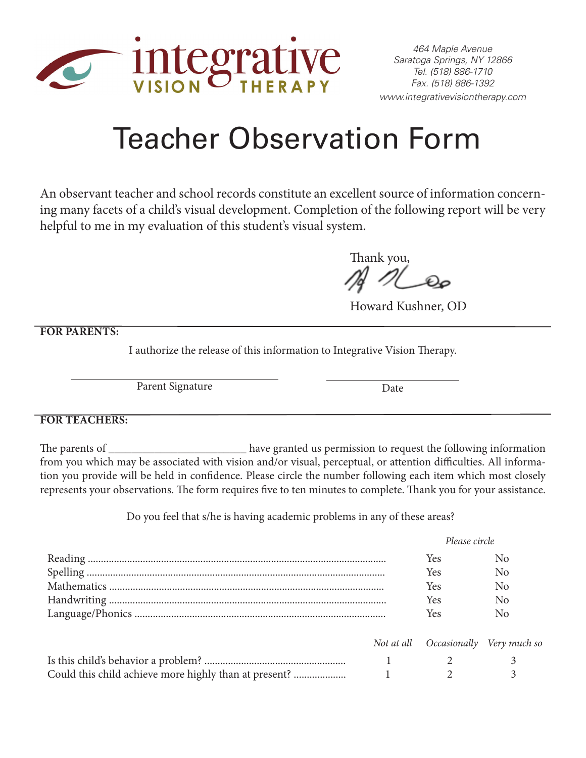

## Teacher Observation Form

An observant teacher and school records constitute an excellent source of information concerning many facets of a child's visual development. Completion of the following report will be very helpful to me in my evaluation of this student's visual system.

Thank you,

Howard Kushner, OD

**FOR PARENTS:**

I authorize the release of this information to Integrative Vision Therapy.

Parent Signature

Date

## **FOR TEACHERS:**

The parents of \_\_\_\_\_\_\_\_\_\_\_\_\_\_\_\_\_\_\_\_\_\_\_\_\_\_\_ have granted us permission to request the following information from you which may be associated with vision and/or visual, perceptual, or attention difficulties. All information you provide will be held in confidence. Please circle the number following each item which most closely represents your observations. The form requires five to ten minutes to complete. Thank you for your assistance.

Do you feel that s/he is having academic problems in any of these areas?

|  |  | Please circle                        |                |
|--|--|--------------------------------------|----------------|
|  |  | <b>Yes</b>                           | N <sub>0</sub> |
|  |  | Yes                                  | No             |
|  |  | Yes                                  | N <sub>0</sub> |
|  |  | <b>Yes</b>                           | N <sub>0</sub> |
|  |  | <b>Yes</b>                           | N <sub>0</sub> |
|  |  | Not at all Occasionally Very much so |                |
|  |  |                                      |                |
|  |  |                                      |                |